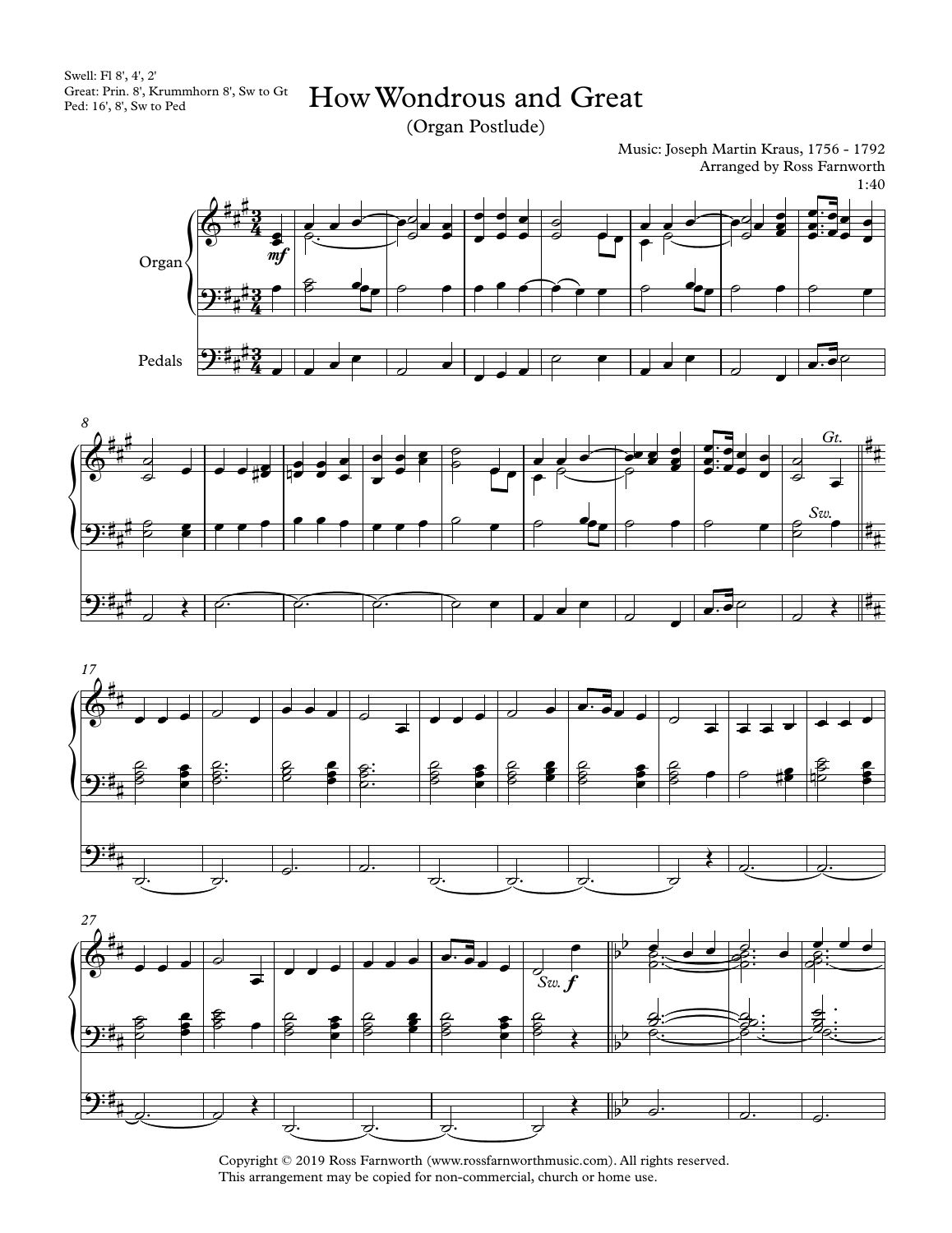Swell: Fl 8', 4', 2' Great: Prin. 8', Krummhorn 8', Sw toGt Ped: 16', 8', Sw to Ped

HowWondrous and Great

(Organ Postlude)

Music: Joseph Martin Kraus, 1756 - 1792 Arranged by Ross Farnworth 1:40









Copyright © 2019 Ross Farnworth (www.rossfarnworthmusic.com). All rights reserved. This arrangement may be copied for non-commercial, church or home use.